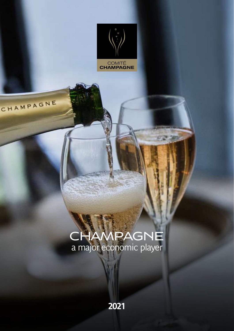

# CHAMPAGNE

# **CHAMPAGNE** a major economic player

**2021**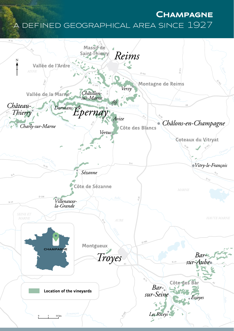# **Champagne** a defined geographical area since 1927

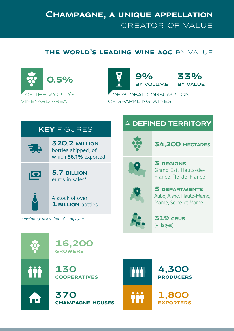## **Champagne, a unique appellation** creator of value

#### **the world's leading wine aoc** by value





## **KEY** FIGURES



**320.2 million** bottles shipped, of which **56.1%** exported



**5.7 billion** euros in sales\*

A stock of over **1 billion** bottles

\* excluding taxes, from Champagne

## A **DEFINED TERRITORY**



**34,200 hectares**



**3 regions** Grand Est, Hauts-de-France, Île-de-France



**5 departments** Aube, Aisne, Haute-Marne, Marne, Seine-et-Marne



**319 crus** (villages)



Ħ

**16,200 growers**

**130 cooperatives**

**370 champagne houses**



**4,300 producers**

**1,800 exporters**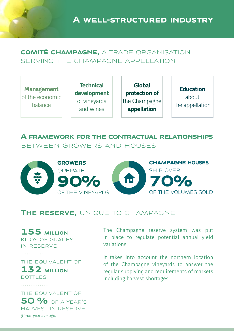**A well-structured industry**

#### **comité champagne,** a trade organisation serving the champagne appellation

**Management** of the economic balance

**Technical development** of vineyards and wines

**Global protection of** the Champagne **appellation**

**Education** about the appellation

#### **A framework for the contractual relationships** between growers and houses



#### **The reserve,** unique to champagne

**155 million** kilos of grapes in reserve

the equivalent of

**132 million** bottles

the equivalent of **50 % OF A YEAR'S** harvest in reserve (three-year average)

The Champagne reserve system was put in place to regulate potential annual yield variations.

It takes into account the northern location of the Champagne vineyards to answer the regular supplying and requirements of markets including harvest shortages.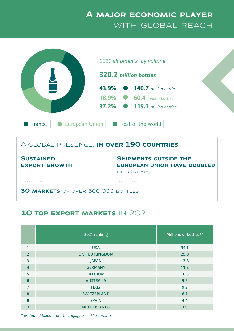## **A major economic player** WITH GLOBAL REACH



**SUSTAINED export growth** 

**Shipments outside the european union have doubled**  in 20 years

. . . . . . . . . . . . .

. . . . . . . . . . . . .

**30 MARKETS** OF OVER 500,000 BOTTLES

#### **10 top export markets** in 2021

|                | 2021 ranking          | Millions of bottles** |
|----------------|-----------------------|-----------------------|
| 1              | <b>USA</b>            | 34.1                  |
| $\overline{2}$ | <b>UNITED KINGDOM</b> | 29.9                  |
| 3              | <b>IAPAN</b>          | 13.8                  |
| $\overline{4}$ | <b>GERMANY</b>        | 11.2                  |
| 5              | <b>BELGIUM</b>        | 10.3                  |
| 6              | <b>AUSTRALIA</b>      | 9.9                   |
| $\overline{7}$ | <b>ITALY</b>          | 9.2                   |
| 8              | <b>SWITZERLAND</b>    | 6.1                   |
| 9              | <b>SPAIN</b>          | 4.4                   |
| 10             | <b>NETHERLANDS</b>    | 3.9                   |

\* excluding taxes, from Champagne \*\* Estimates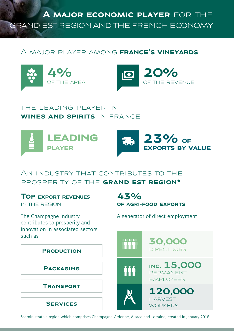**A major economic player** for the grand est region and the french economy

#### A major player among **france's vineyards**





#### the leading player in **wines and spirits** in france





**of agri-food exports**

A generator of direct employment

#### An industry that contributes to the prosperity of the **grand est region\***

**43%**

#### **Top export revenues**

in the region

The Champagne industry contributes to prosperity and innovation in associated sectors such as



\*administrative region which comprises Champagne-Ardenne, Alsace and Lorraine, created in January 2016.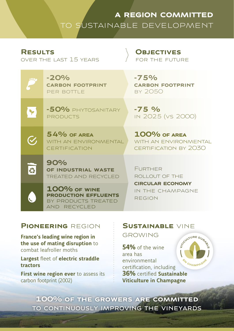## **a region committed** to sustainable development

#### **Results**

l Y

 $\mathcal G$ 

 $\overline{\mathbf{c}}$ 

over the last 15 years

products

#### **Objectives** for the future

**-20% carbon footprint** per bottle

**-75% carbon footprint** by 2050

**-75 %** in 2025 (vs 2000)

**54% of area** WITH AN ENVIRONMENTAL **CERTIFICATION 100% of area** WITH AN ENVIRONMENTAL certification by 2030

**90% of industrial waste** treated and recycled

**-50%** phytosanitary

**100% of wine production effluents** by products treated and recycled

**FURTHER** rollout of the **circular economy** in the champagne region

#### **Pioneering** region

**France's leading wine region in the use of mating disruption** to combat leafroller moths

**Largest** fleet of **electric straddle tractors**

**First wine region ever** to assess its carbon footprint (2002)

## **Sustainable** vine

**GROWING** 

ATOULTURE DUR **54%** of the wine area has environmental certification, including **36%** certified **Sustainable Viticulture in Champagne**

**100% of the growers are committed** to continuously improving the vineyards